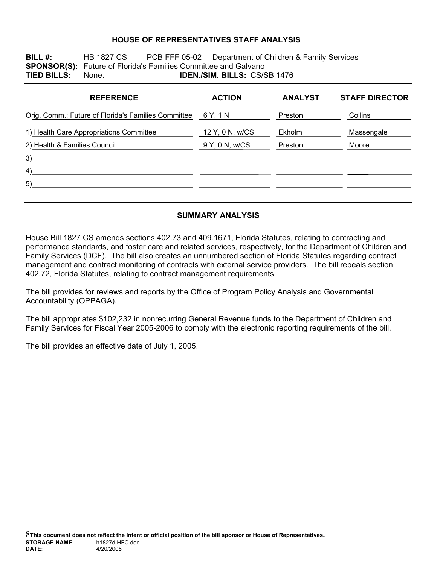#### **HOUSE OF REPRESENTATIVES STAFF ANALYSIS**

**BILL #:** HB 1827 CS PCB FFF 05-02 Department of Children & Family Services **SPONSOR(S):** Future of Florida's Families Committee and Galvano **TIED BILLS:** None. **IDEN./SIM. BILLS:** CS/SB 1476

| <b>REFERENCE</b>                                    | <b>ACTION</b>   | <b>ANALYST</b> | <b>STAFF DIRECTOR</b> |
|-----------------------------------------------------|-----------------|----------------|-----------------------|
| Orig. Comm.: Future of Florida's Families Committee | 6 Y, 1 N        | Preston        | Collins               |
| 1) Health Care Appropriations Committee             | 12 Y, 0 N, w/CS | Ekholm         | Massengale            |
| 2) Health & Families Council                        | 9 Y, 0 N, w/CS  | Preston        | Moore                 |
| 3)                                                  |                 |                |                       |
| 4)                                                  |                 |                |                       |
| 5)                                                  |                 |                |                       |
|                                                     |                 |                |                       |

#### **SUMMARY ANALYSIS**

House Bill 1827 CS amends sections 402.73 and 409.1671, Florida Statutes, relating to contracting and performance standards, and foster care and related services, respectively, for the Department of Children and Family Services (DCF). The bill also creates an unnumbered section of Florida Statutes regarding contract management and contract monitoring of contracts with external service providers. The bill repeals section 402.72, Florida Statutes, relating to contract management requirements.

The bill provides for reviews and reports by the Office of Program Policy Analysis and Governmental Accountability (OPPAGA).

The bill appropriates \$102,232 in nonrecurring General Revenue funds to the Department of Children and Family Services for Fiscal Year 2005-2006 to comply with the electronic reporting requirements of the bill.

The bill provides an effective date of July 1, 2005.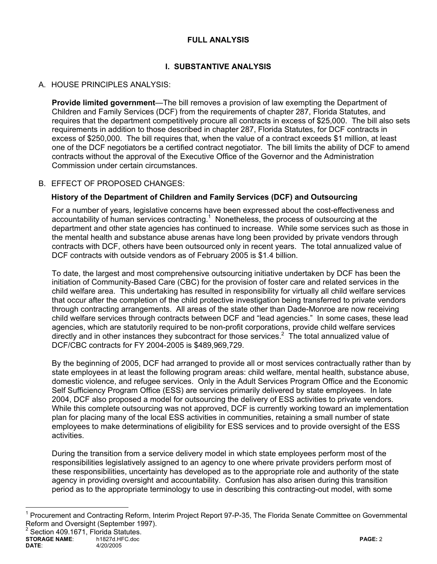### **FULL ANALYSIS**

# **I. SUBSTANTIVE ANALYSIS**

## A. HOUSE PRINCIPLES ANALYSIS:

**Provide limited government**—The bill removes a provision of law exempting the Department of Children and Family Services (DCF) from the requirements of chapter 287, Florida Statutes, and requires that the department competitively procure all contracts in excess of \$25,000. The bill also sets requirements in addition to those described in chapter 287, Florida Statutes, for DCF contracts in excess of \$250,000. The bill requires that, when the value of a contract exceeds \$1 million, at least one of the DCF negotiators be a certified contract negotiator. The bill limits the ability of DCF to amend contracts without the approval of the Executive Office of the Governor and the Administration Commission under certain circumstances.

#### B. EFFECT OF PROPOSED CHANGES:

#### **History of the Department of Children and Family Services (DCF) and Outsourcing**

For a number of years, legislative concerns have been expressed about the cost-effectiveness and accountability of human services contracting. $<sup>1</sup>$  Nonetheless, the process of outsourcing at the</sup> department and other state agencies has continued to increase. While some services such as those in the mental health and substance abuse arenas have long been provided by private vendors through contracts with DCF, others have been outsourced only in recent years. The total annualized value of DCF contracts with outside vendors as of February 2005 is \$1.4 billion.

To date, the largest and most comprehensive outsourcing initiative undertaken by DCF has been the initiation of Community-Based Care (CBC) for the provision of foster care and related services in the child welfare area. This undertaking has resulted in responsibility for virtually all child welfare services that occur after the completion of the child protective investigation being transferred to private vendors through contracting arrangements. All areas of the state other than Dade-Monroe are now receiving child welfare services through contracts between DCF and "lead agencies." In some cases, these lead agencies, which are statutorily required to be non-profit corporations, provide child welfare services directly and in other instances they subcontract for those services. $2$  The total annualized value of DCF/CBC contracts for FY 2004-2005 is \$489,969,729.

By the beginning of 2005, DCF had arranged to provide all or most services contractually rather than by state employees in at least the following program areas: child welfare, mental health, substance abuse, domestic violence, and refugee services. Only in the Adult Services Program Office and the Economic Self Sufficiency Program Office (ESS) are services primarily delivered by state employees. In late 2004, DCF also proposed a model for outsourcing the delivery of ESS activities to private vendors. While this complete outsourcing was not approved, DCF is currently working toward an implementation plan for placing many of the local ESS activities in communities, retaining a small number of state employees to make determinations of eligibility for ESS services and to provide oversight of the ESS activities.

During the transition from a service delivery model in which state employees perform most of the responsibilities legislatively assigned to an agency to one where private providers perform most of these responsibilities, uncertainty has developed as to the appropriate role and authority of the state agency in providing oversight and accountability. Confusion has also arisen during this transition period as to the appropriate terminology to use in describing this contracting-out model, with some

**STORAGE NAME**: h1827d.HFC.doc **PAGE:** 2 **DATE**: 4/20/2005 <sup>2</sup> Section 409.1671, Florida Statutes.

 $\overline{a}$ 

<sup>&</sup>lt;sup>1</sup> Procurement and Contracting Reform, Interim Project Report 97-P-35, The Florida Senate Committee on Governmental Reform and Oversight (September 1997).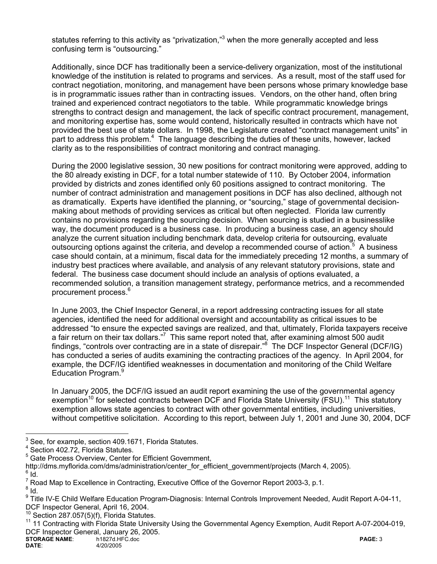statutes referring to this activity as "privatization,"<sup>3</sup> when the more generally accepted and less confusing term is "outsourcing."

Additionally, since DCF has traditionally been a service-delivery organization, most of the institutional knowledge of the institution is related to programs and services. As a result, most of the staff used for contract negotiation, monitoring, and management have been persons whose primary knowledge base is in programmatic issues rather than in contracting issues. Vendors, on the other hand, often bring trained and experienced contract negotiators to the table. While programmatic knowledge brings strengths to contract design and management, the lack of specific contract procurement, management, and monitoring expertise has, some would contend, historically resulted in contracts which have not provided the best use of state dollars. In 1998, the Legislature created "contract management units" in part to address this problem.<sup>4</sup> The language describing the duties of these units, however, lacked clarity as to the responsibilities of contract monitoring and contract managing.

During the 2000 legislative session, 30 new positions for contract monitoring were approved, adding to the 80 already existing in DCF, for a total number statewide of 110. By October 2004, information provided by districts and zones identified only 60 positions assigned to contract monitoring. The number of contract administration and management positions in DCF has also declined, although not as dramatically. Experts have identified the planning, or "sourcing," stage of governmental decisionmaking about methods of providing services as critical but often neglected. Florida law currently contains no provisions regarding the sourcing decision. When sourcing is studied in a businesslike way, the document produced is a business case. In producing a business case, an agency should analyze the current situation including benchmark data, develop criteria for outsourcing, evaluate outsourcing options against the criteria, and develop a recommended course of action.<sup>5</sup> A business case should contain, at a minimum, fiscal data for the immediately preceding 12 months, a summary of industry best practices where available, and analysis of any relevant statutory provisions, state and federal. The business case document should include an analysis of options evaluated, a recommended solution, a transition management strategy, performance metrics, and a recommended procurement process.6

In June 2003, the Chief Inspector General, in a report addressing contracting issues for all state agencies, identified the need for additional oversight and accountability as critical issues to be addressed "to ensure the expected savings are realized, and that, ultimately, Florida taxpayers receive a fair return on their tax dollars."<sup>7</sup> This same report noted that, after examining almost 500 audit findings, "controls over contracting are in a state of disrepair."<sup>8</sup> The DCF Inspector General (DCF/IG) has conducted a series of audits examining the contracting practices of the agency. In April 2004, for example, the DCF/IG identified weaknesses in documentation and monitoring of the Child Welfare Education Program.<sup>9</sup>

In January 2005, the DCF/IG issued an audit report examining the use of the governmental agency exemption<sup>10</sup> for selected contracts between DCF and Florida State University (FSU).<sup>11</sup> This statutory exemption allows state agencies to contract with other governmental entities, including universities, without competitive solicitation. According to this report, between July 1, 2001 and June 30, 2004, DCF

<sup>-&</sup>lt;br>3 See, for example, section 409.1671, Florida Statutes.

<sup>4</sup> Section 402.72, Florida Statutes.

<sup>&</sup>lt;sup>5</sup> Gate Process Overview, Center for Efficient Government,

http://dms.myflorida.com/dms/administration/center\_for\_efficient\_government/projects (March 4, 2005).

 $6$  Id.

 $^7$  Road Map to Excellence in Contracting, Executive Office of the Governor Report 2003-3, p.1.<br><sup>8</sup> Jd

 $8$  Id.

<sup>&</sup>lt;sup>9</sup> Title IV-E Child Welfare Education Program-Diagnosis: Internal Controls Improvement Needed, Audit Report A-04-11, DCF Inspector General, April 16, 2004.

 $\frac{10}{10}$  Section 287.057(5)(f), Florida Statutes.

<sup>11 11</sup> Contracting with Florida State University Using the Governmental Agency Exemption, Audit Report A-07-2004-019, DCF Inspector General, January 26, 2005.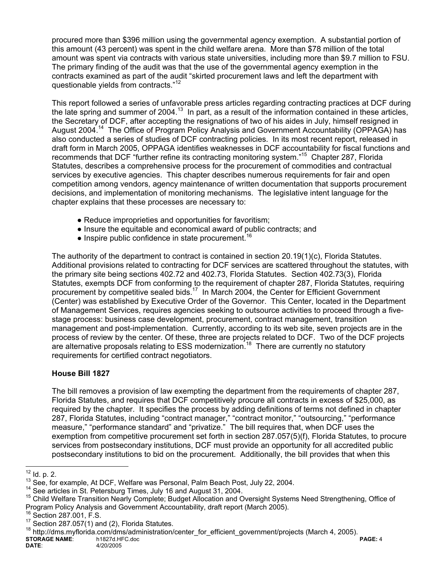procured more than \$396 million using the governmental agency exemption. A substantial portion of this amount (43 percent) was spent in the child welfare arena. More than \$78 million of the total amount was spent via contracts with various state universities, including more than \$9.7 million to FSU. The primary finding of the audit was that the use of the governmental agency exemption in the contracts examined as part of the audit "skirted procurement laws and left the department with questionable yields from contracts."<sup>12</sup>

This report followed a series of unfavorable press articles regarding contracting practices at DCF during the late spring and summer of 2004.<sup>13</sup> In part, as a result of the information contained in these articles, the Secretary of DCF, after accepting the resignations of two of his aides in July, himself resigned in August 2004.14 The Office of Program Policy Analysis and Government Accountability (OPPAGA) has also conducted a series of studies of DCF contracting policies. In its most recent report, released in draft form in March 2005, OPPAGA identifies weaknesses in DCF accountability for fiscal functions and recommends that DCF "further refine its contracting monitoring system."15 Chapter 287, Florida Statutes, describes a comprehensive process for the procurement of commodities and contractual services by executive agencies. This chapter describes numerous requirements for fair and open competition among vendors, agency maintenance of written documentation that supports procurement decisions, and implementation of monitoring mechanisms. The legislative intent language for the chapter explains that these processes are necessary to:

- Reduce improprieties and opportunities for favoritism;
- Insure the equitable and economical award of public contracts; and
- $\bullet$  Inspire public confidence in state procurement.<sup>16</sup>

The authority of the department to contract is contained in section 20.19(1)(c), Florida Statutes. Additional provisions related to contracting for DCF services are scattered throughout the statutes, with the primary site being sections 402.72 and 402.73, Florida Statutes. Section 402.73(3), Florida Statutes, exempts DCF from conforming to the requirement of chapter 287, Florida Statutes, requiring procurement by competitive sealed bids.<sup>17</sup> In March 2004, the Center for Efficient Government (Center) was established by Executive Order of the Governor. This Center, located in the Department of Management Services, requires agencies seeking to outsource activities to proceed through a fivestage process: business case development, procurement, contract management, transition management and post-implementation. Currently, according to its web site, seven projects are in the process of review by the center. Of these, three are projects related to DCF. Two of the DCF projects are alternative proposals relating to ESS modernization.<sup>18</sup> There are currently no statutory requirements for certified contract negotiators.

## **House Bill 1827**

The bill removes a provision of law exempting the department from the requirements of chapter 287, Florida Statutes, and requires that DCF competitively procure all contracts in excess of \$25,000, as required by the chapter. It specifies the process by adding definitions of terms not defined in chapter 287, Florida Statutes, including "contract manager," "contract monitor," "outsourcing," "performance measure," "performance standard" and "privatize." The bill requires that, when DCF uses the exemption from competitive procurement set forth in section 287.057(5)(f), Florida Statutes, to procure services from postsecondary institutions, DCF must provide an opportunity for all accredited public postsecondary institutions to bid on the procurement. Additionally, the bill provides that when this

**STORAGE NAME:** h1827d.HFC.doc **PAGE: 4**<br>DATE: 4/20/2005 4/20/2005 <sup>18</sup> http://dms.myflorida.com/dms/administration/center\_for\_efficient\_government/projects (March 4, 2005).

 $12$  ld. p. 2.

<sup>&</sup>lt;sup>13</sup> See, for example, At DCF, Welfare was Personal, Palm Beach Post, July 22, 2004.<br><sup>14</sup> See articles in St. Petersburg Times, July 16 and August 31, 2004.<br><sup>15</sup> Child Welfare Transition Nearly Complete; Budget Allocation Program Policy Analysis and Government Accountability, draft report (March 2005).<br><sup>16</sup> Section 287.001, F.S.<br><sup>17</sup> Section 287.057(1) and (2), Florida Statutes.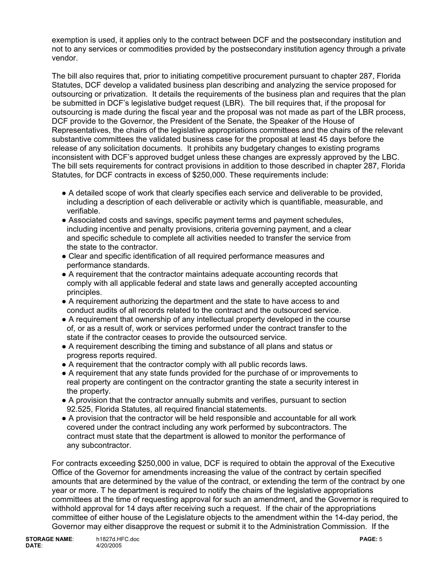exemption is used, it applies only to the contract between DCF and the postsecondary institution and not to any services or commodities provided by the postsecondary institution agency through a private vendor.

The bill also requires that, prior to initiating competitive procurement pursuant to chapter 287, Florida Statutes, DCF develop a validated business plan describing and analyzing the service proposed for outsourcing or privatization. It details the requirements of the business plan and requires that the plan be submitted in DCF's legislative budget request (LBR). The bill requires that, if the proposal for outsourcing is made during the fiscal year and the proposal was not made as part of the LBR process, DCF provide to the Governor, the President of the Senate, the Speaker of the House of Representatives, the chairs of the legislative appropriations committees and the chairs of the relevant substantive committees the validated business case for the proposal at least 45 days before the release of any solicitation documents. It prohibits any budgetary changes to existing programs inconsistent with DCF's approved budget unless these changes are expressly approved by the LBC. The bill sets requirements for contract provisions in addition to those described in chapter 287, Florida Statutes, for DCF contracts in excess of \$250,000. These requirements include:

- A detailed scope of work that clearly specifies each service and deliverable to be provided, including a description of each deliverable or activity which is quantifiable, measurable, and verifiable.
- Associated costs and savings, specific payment terms and payment schedules, including incentive and penalty provisions, criteria governing payment, and a clear and specific schedule to complete all activities needed to transfer the service from the state to the contractor.
- Clear and specific identification of all required performance measures and performance standards.
- A requirement that the contractor maintains adequate accounting records that comply with all applicable federal and state laws and generally accepted accounting principles.
- A requirement authorizing the department and the state to have access to and conduct audits of all records related to the contract and the outsourced service.
- A requirement that ownership of any intellectual property developed in the course of, or as a result of, work or services performed under the contract transfer to the state if the contractor ceases to provide the outsourced service.
- A requirement describing the timing and substance of all plans and status or progress reports required.
- A requirement that the contractor comply with all public records laws.
- A requirement that any state funds provided for the purchase of or improvements to real property are contingent on the contractor granting the state a security interest in the property.
- A provision that the contractor annually submits and verifies, pursuant to section 92.525, Florida Statutes, all required financial statements.
- A provision that the contractor will be held responsible and accountable for all work covered under the contract including any work performed by subcontractors. The contract must state that the department is allowed to monitor the performance of any subcontractor.

For contracts exceeding \$250,000 in value, DCF is required to obtain the approval of the Executive Office of the Governor for amendments increasing the value of the contract by certain specified amounts that are determined by the value of the contract, or extending the term of the contract by one year or more. T he department is required to notify the chairs of the legislative appropriations committees at the time of requesting approval for such an amendment, and the Governor is required to withhold approval for 14 days after receiving such a request. If the chair of the appropriations committee of either house of the Legislature objects to the amendment within the 14-day period, the Governor may either disapprove the request or submit it to the Administration Commission. If the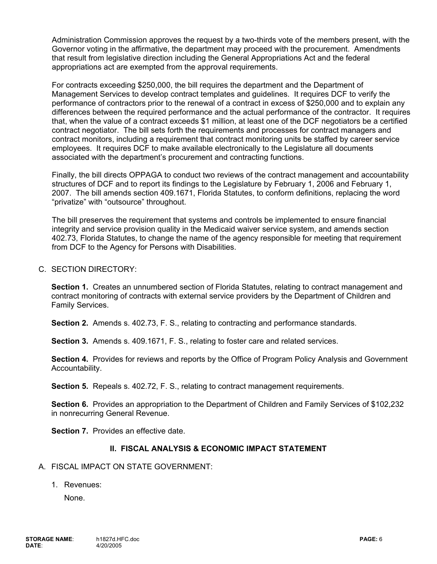Administration Commission approves the request by a two-thirds vote of the members present, with the Governor voting in the affirmative, the department may proceed with the procurement. Amendments that result from legislative direction including the General Appropriations Act and the federal appropriations act are exempted from the approval requirements.

For contracts exceeding \$250,000, the bill requires the department and the Department of Management Services to develop contract templates and guidelines. It requires DCF to verify the performance of contractors prior to the renewal of a contract in excess of \$250,000 and to explain any differences between the required performance and the actual performance of the contractor. It requires that, when the value of a contract exceeds \$1 million, at least one of the DCF negotiators be a certified contract negotiator. The bill sets forth the requirements and processes for contract managers and contract monitors, including a requirement that contract monitoring units be staffed by career service employees. It requires DCF to make available electronically to the Legislature all documents associated with the department's procurement and contracting functions.

Finally, the bill directs OPPAGA to conduct two reviews of the contract management and accountability structures of DCF and to report its findings to the Legislature by February 1, 2006 and February 1, 2007. The bill amends section 409.1671, Florida Statutes, to conform definitions, replacing the word "privatize" with "outsource" throughout.

The bill preserves the requirement that systems and controls be implemented to ensure financial integrity and service provision quality in the Medicaid waiver service system, and amends section 402.73, Florida Statutes, to change the name of the agency responsible for meeting that requirement from DCF to the Agency for Persons with Disabilities.

#### C. SECTION DIRECTORY:

**Section 1.** Creates an unnumbered section of Florida Statutes, relating to contract management and contract monitoring of contracts with external service providers by the Department of Children and Family Services.

**Section 2.** Amends s. 402.73, F. S., relating to contracting and performance standards.

 **Section 3.** Amends s. 409.1671, F. S., relating to foster care and related services.

**Section 4.** Provides for reviews and reports by the Office of Program Policy Analysis and Government Accountability.

 **Section 5.** Repeals s. 402.72, F. S., relating to contract management requirements.

**Section 6.** Provides an appropriation to the Department of Children and Family Services of \$102,232 in nonrecurring General Revenue.

**Section 7.** Provides an effective date.

#### **II. FISCAL ANALYSIS & ECONOMIC IMPACT STATEMENT**

#### A. FISCAL IMPACT ON STATE GOVERNMENT:

1. Revenues:

None.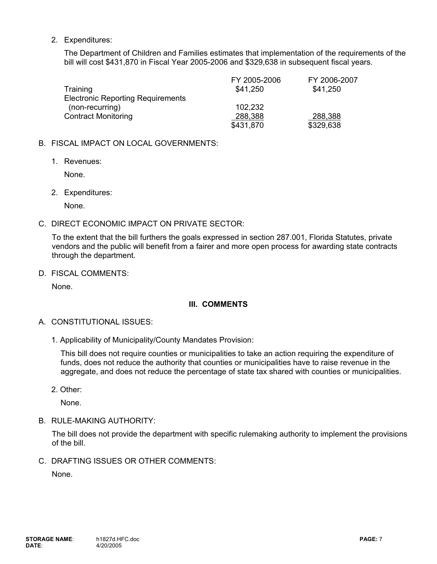2. Expenditures:

The Department of Children and Families estimates that implementation of the requirements of the bill will cost \$431,870 in Fiscal Year 2005-2006 and \$329,638 in subsequent fiscal years.

|                                          | FY 2005-2006 | FY 2006-2007 |
|------------------------------------------|--------------|--------------|
| Training                                 | \$41,250     | \$41,250     |
| <b>Electronic Reporting Requirements</b> |              |              |
| (non-recurring)                          | 102,232      |              |
| <b>Contract Monitoring</b>               | 288,388      | 288,388      |
|                                          | \$431,870    | \$329,638    |

### B. FISCAL IMPACT ON LOCAL GOVERNMENTS:

1. Revenues:

None.

2. Expenditures:

None.

#### C. DIRECT ECONOMIC IMPACT ON PRIVATE SECTOR:

To the extent that the bill furthers the goals expressed in section 287.001, Florida Statutes, private vendors and the public will benefit from a fairer and more open process for awarding state contracts through the department.

D. FISCAL COMMENTS:

None.

## **III. COMMENTS**

- A. CONSTITUTIONAL ISSUES:
	- 1. Applicability of Municipality/County Mandates Provision:

This bill does not require counties or municipalities to take an action requiring the expenditure of funds, does not reduce the authority that counties or municipalities have to raise revenue in the aggregate, and does not reduce the percentage of state tax shared with counties or municipalities.

2. Other:

None.

B. RULE-MAKING AUTHORITY:

The bill does not provide the department with specific rulemaking authority to implement the provisions of the bill.

C. DRAFTING ISSUES OR OTHER COMMENTS:

None.